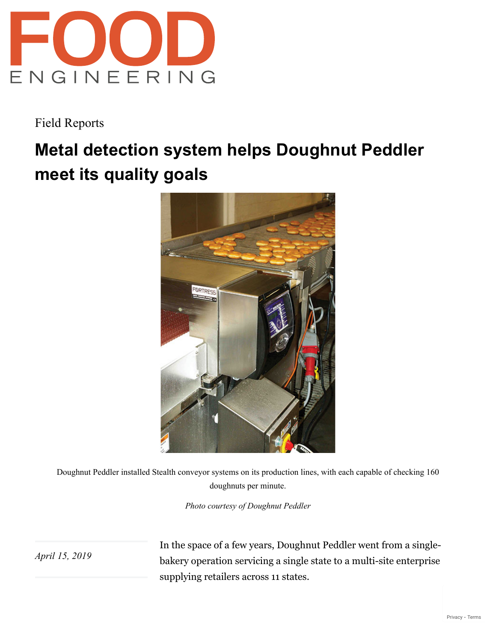

Field Reports

## **Metal detection system helps Doughnut Peddler meet its quality goals**



Doughnut Peddler installed Stealth conveyor systems on its production lines, with each capable of checking 160 doughnuts per minute.

*Photo courtesy of Doughnut Peddler*

*April 15, 2019*

In the space of a few years, Doughnut Peddler went from a singlebakery operation servicing a single state to a multi-site enterprise supplying retailers across 11 states.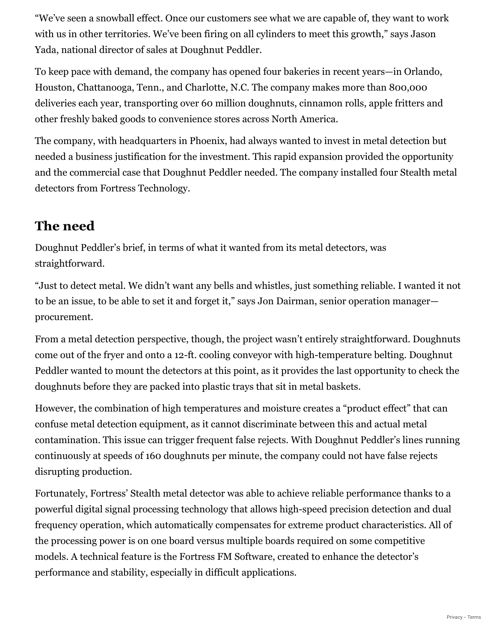"We've seen a snowball effect. Once our customers see what we are capable of, they want to work with us in other territories. We've been firing on all cylinders to meet this growth," says Jason Yada, national director of sales at Doughnut Peddler.

To keep pace with demand, the company has opened four bakeries in recent years—in Orlando, Houston, Chattanooga, Tenn., and Charlotte, N.C. The company makes more than 800,000 deliveries each year, transporting over 60 million doughnuts, cinnamon rolls, apple fritters and other freshly baked goods to convenience stores across North America.

The company, with headquarters in Phoenix, had always wanted to invest in metal detection but needed a business justification for the investment. This rapid expansion provided the opportunity and the commercial case that Doughnut Peddler needed. The company installed four Stealth metal detectors from Fortress Technology.

## **The need**

Doughnut Peddler's brief, in terms of what it wanted from its metal detectors, was straightforward.

"Just to detect metal. We didn't want any bells and whistles, just something reliable. I wanted it not to be an issue, to be able to set it and forget it," says Jon Dairman, senior operation manager procurement.

From a metal detection perspective, though, the project wasn't entirely straightforward. Doughnuts come out of the fryer and onto a 12-ft. cooling conveyor with high-temperature belting. Doughnut Peddler wanted to mount the detectors at this point, as it provides the last opportunity to check the doughnuts before they are packed into plastic trays that sit in metal baskets.

However, the combination of high temperatures and moisture creates a "product effect" that can confuse metal detection equipment, as it cannot discriminate between this and actual metal contamination. This issue can trigger frequent false rejects. With Doughnut Peddler's lines running continuously at speeds of 160 doughnuts per minute, the company could not have false rejects disrupting production.

Fortunately, Fortress' Stealth metal detector was able to achieve reliable performance thanks to a powerful digital signal processing technology that allows high-speed precision detection and dual frequency operation, which automatically compensates for extreme product characteristics. All of the processing power is on one board versus multiple boards required on some competitive models. A technical feature is the Fortress FM Software, created to enhance the detector's performance and stability, especially in difficult applications.